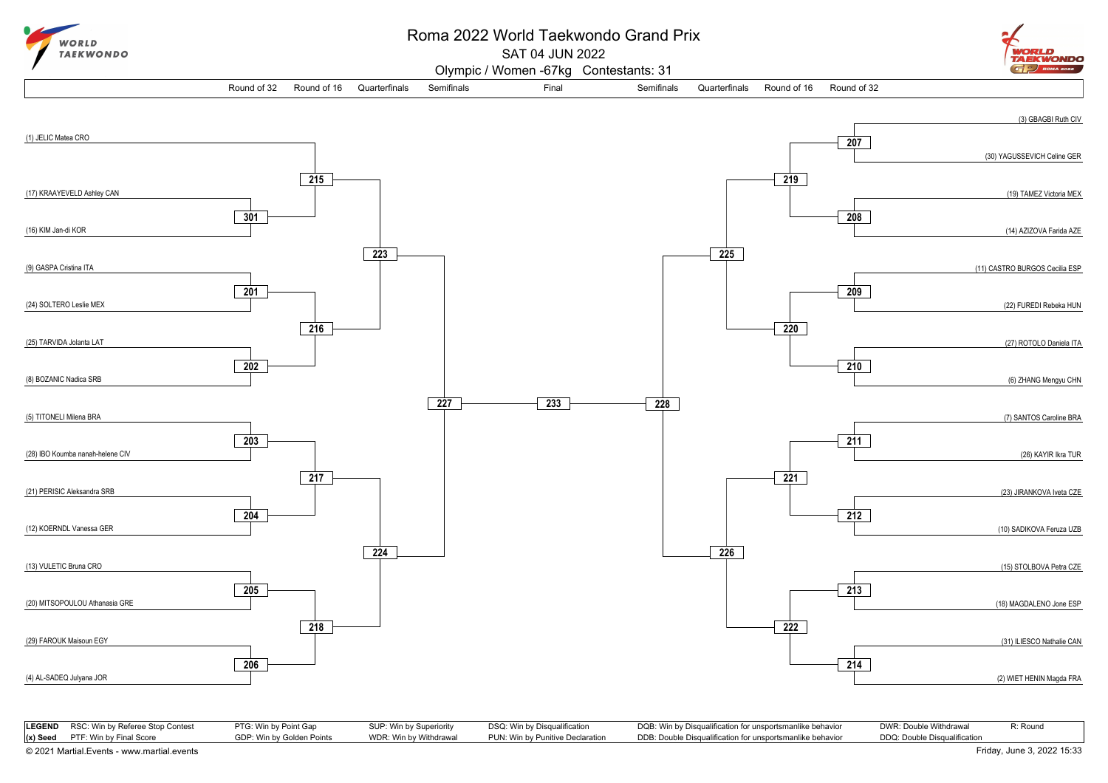

## Roma 2022 World Taekwondo Grand Prix

SAT 04 JUN 2022

Olympic / Women -67kg Contestants: 31





|                                            | <b>LEGEND</b> RSC: Win by Referee Stop Contest | PTG: Win by Point Gap     | SUP: Win by Superiority | DSQ: Win by Disqualification     | DQB: Win by Disqualification for unsportsmanlike behavior | DWR: Double Withdrawal       | R: Round |
|--------------------------------------------|------------------------------------------------|---------------------------|-------------------------|----------------------------------|-----------------------------------------------------------|------------------------------|----------|
|                                            | $(x)$ Seed PTF: Win by Final Score             | GDP: Win by Golden Points | WDR: Win by Withdrawal  | PUN: Win by Punitive Declaration | DDB: Double Disqualification for unsportsmanlike behavior | DDQ: Double Disqualification |          |
| © 2021 Martial.Events - www.martial.events |                                                |                           |                         |                                  |                                                           | Friday, June 3, 2022 15:33   |          |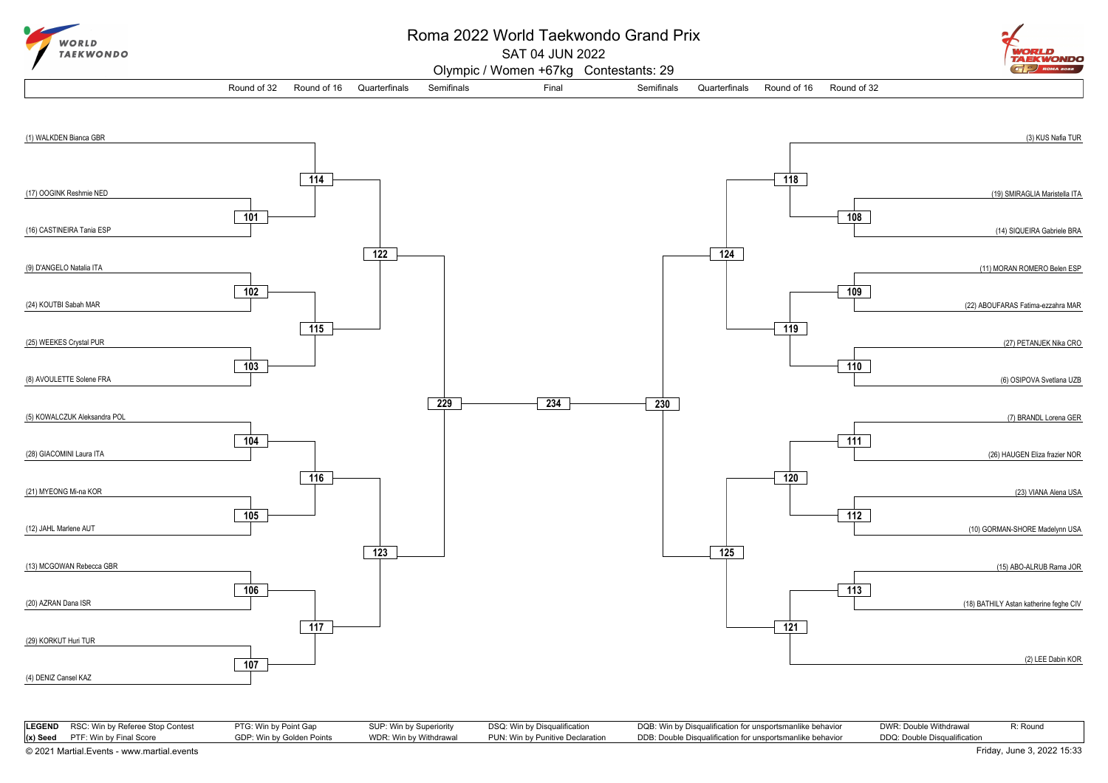

## Roma 2022 World Taekwondo Grand Prix

SAT 04 JUN 2022

ORLD **TAEKWONDO**  $\left(\overline{G}\right)$  ROMA 2022

Olympic / Women +67kg Contestants: 29

Round of 32 Round of 16 Quarterfinals Semifinals Semifinals Final Semifinals Quarterfinals Round of 16 Round of 32



| <b>LEGEND</b> RSC: Win by Referee Stop Contest | PTG: Win by Point Gap     | SUP: Win by Superiority | DSQ: Win by Disqualification     | DQB: Win by Disqualification for unsportsmanlike behavior | DWR: Double Withdrawal       | R: Round |
|------------------------------------------------|---------------------------|-------------------------|----------------------------------|-----------------------------------------------------------|------------------------------|----------|
| $(x)$ Seed PTF: Win by Final Score             | GDP: Win by Golden Points | WDR: Win by Withdrawal  | PUN: Win by Punitive Declaration | DDB: Double Disqualification for unsportsmanlike behavior | DDQ: Double Disgualification |          |
| © 2021 Martial.Events - www.martial.events     |                           |                         |                                  |                                                           | Friday, June 3, 2022 15:33   |          |